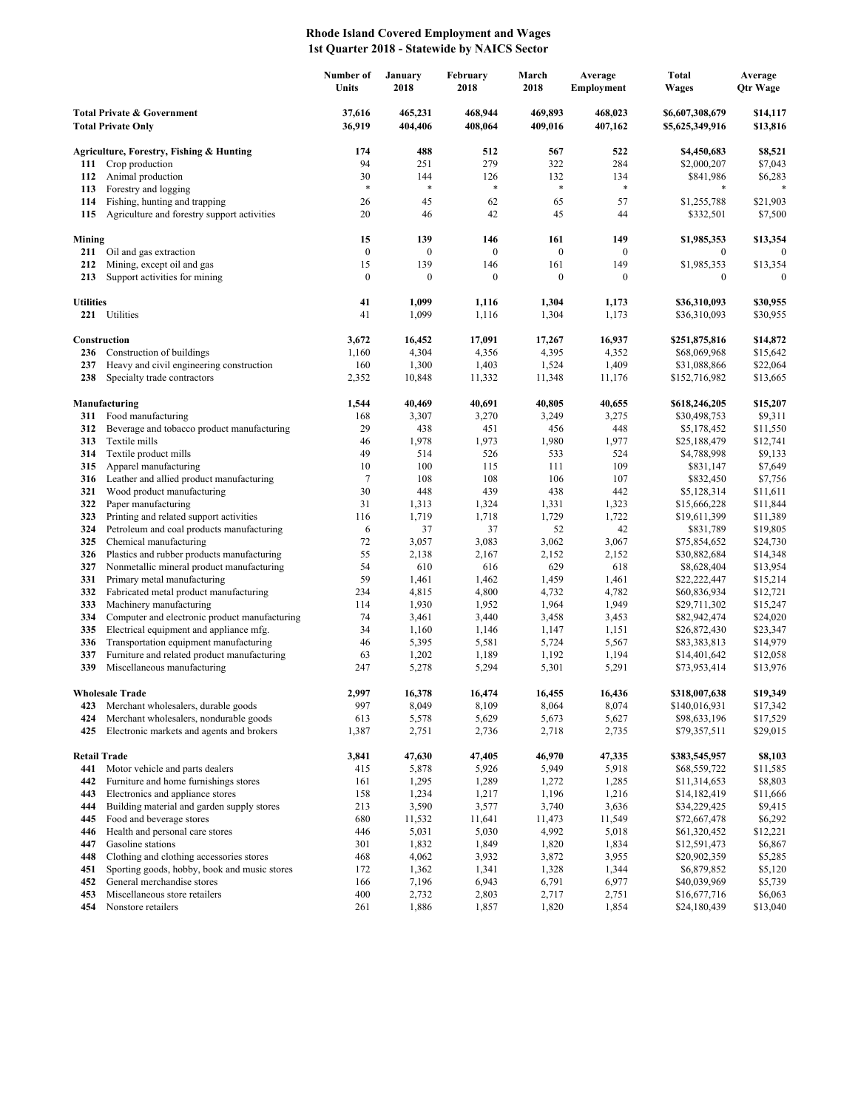## **Rhode Island Covered Employment and Wages 1st Quarter 2018 - Statewide by NAICS Sector**

|                                                                    |                                                                                     | Number of<br>Units | January<br>2018    | February<br>2018   | March<br>2018      | Average<br>Employment | <b>Total</b><br><b>Wages</b>       | Average<br><b>Qtr Wage</b> |
|--------------------------------------------------------------------|-------------------------------------------------------------------------------------|--------------------|--------------------|--------------------|--------------------|-----------------------|------------------------------------|----------------------------|
| <b>Total Private &amp; Government</b><br><b>Total Private Only</b> |                                                                                     | 37,616<br>36,919   | 465,231<br>404,406 | 468,944<br>408,064 | 469,893<br>409,016 | 468,023<br>407,162    | \$6,607,308,679<br>\$5,625,349,916 | \$14,117<br>\$13,816       |
|                                                                    | Agriculture, Forestry, Fishing & Hunting                                            | 174                | 488                | 512                | 567                | 522                   | \$4,450,683                        | \$8,521                    |
| 111                                                                | Crop production                                                                     | 94                 | 251                | 279                | 322                | 284                   | \$2,000,207                        | \$7,043                    |
| 112                                                                | Animal production                                                                   | 30                 | 144                | 126                | 132                | 134                   | \$841,986                          | \$6,283                    |
| 113                                                                | Forestry and logging                                                                | *                  | $\ast$             | *                  | $\ast$             | $\ast$                | *                                  |                            |
| 114                                                                | Fishing, hunting and trapping                                                       | 26                 | 45                 | 62                 | 65                 | 57                    | \$1,255,788                        | \$21,903                   |
| 115                                                                | Agriculture and forestry support activities                                         | 20                 | 46                 | 42                 | 45                 | 44                    | \$332,501                          | \$7,500                    |
| Mining                                                             |                                                                                     | 15                 | 139                | 146                | 161                | 149                   | \$1,985,353                        | \$13,354                   |
| 211                                                                | Oil and gas extraction                                                              | $\boldsymbol{0}$   | $\boldsymbol{0}$   | $\boldsymbol{0}$   | $\boldsymbol{0}$   | $\boldsymbol{0}$      | $\bf{0}$                           | $\mathbf{0}$               |
| 212                                                                | Mining, except oil and gas                                                          | 15                 | 139                | 146                | 161                | 149                   | \$1,985,353                        | \$13,354                   |
| 213                                                                | Support activities for mining                                                       | $\boldsymbol{0}$   | $\boldsymbol{0}$   | $\boldsymbol{0}$   | $\boldsymbol{0}$   | $\mathbf{0}$          | $\boldsymbol{0}$                   | $\Omega$                   |
| <b>Utilities</b>                                                   |                                                                                     | 41                 | 1,099              | 1,116              | 1,304              | 1,173                 | \$36,310,093                       | \$30,955                   |
|                                                                    | 221 Utilities                                                                       | 41                 | 1,099              | 1,116              | 1,304              | 1,173                 | \$36,310,093                       | \$30,955                   |
|                                                                    | Construction                                                                        | 3,672              | 16,452             | 17,091             | 17,267             | 16,937                | \$251,875,816                      | \$14,872                   |
| 236                                                                | Construction of buildings                                                           | 1,160              | 4,304              | 4,356              | 4,395              | 4,352                 | \$68,069,968                       | \$15,642                   |
| 237                                                                | Heavy and civil engineering construction                                            | 160                | 1,300              | 1,403              | 1,524              | 1,409                 | \$31,088,866                       | \$22,064                   |
| 238                                                                | Specialty trade contractors                                                         | 2,352              | 10,848             | 11,332             | 11,348             | 11,176                | \$152,716,982                      | \$13,665                   |
|                                                                    | Manufacturing                                                                       | 1,544              | 40,469             | 40,691             | 40,805             | 40,655                | \$618,246,205                      | \$15,207                   |
| 311                                                                | Food manufacturing                                                                  | 168                | 3,307              | 3,270              | 3,249              | 3,275                 | \$30,498,753                       | \$9,311                    |
| 312                                                                | Beverage and tobacco product manufacturing                                          | 29                 | 438                | 451                | 456                | 448                   | \$5,178,452                        | \$11,550                   |
| 313                                                                | Textile mills                                                                       | 46                 | 1,978              | 1,973              | 1,980              | 1,977                 | \$25,188,479                       | \$12,741                   |
| 314                                                                | Textile product mills                                                               | 49                 | 514                | 526                | 533                | 524                   | \$4,788,998                        | \$9,133                    |
| 315                                                                | Apparel manufacturing                                                               | 10                 | 100                | 115                | 111                | 109                   | \$831,147                          | \$7,649                    |
| 316                                                                | Leather and allied product manufacturing                                            | 7                  | 108                | 108                | 106                | 107                   | \$832,450                          | \$7,756                    |
| 321                                                                | Wood product manufacturing                                                          | 30                 | 448                | 439                | 438                | 442                   | \$5,128,314                        | \$11,611                   |
| 322                                                                | Paper manufacturing                                                                 | 31                 | 1,313              | 1,324              | 1,331              | 1,323                 | \$15,666,228                       | \$11,844                   |
| 323<br>324                                                         | Printing and related support activities                                             | 116                | 1,719              | 1,718<br>37        | 1,729              | 1,722<br>42           | \$19,611,399                       | \$11,389                   |
| 325                                                                | Petroleum and coal products manufacturing<br>Chemical manufacturing                 | 6<br>72            | 37<br>3,057        | 3,083              | 52<br>3,062        | 3,067                 | \$831,789<br>\$75,854,652          | \$19,805<br>\$24,730       |
| 326                                                                | Plastics and rubber products manufacturing                                          | 55                 | 2,138              | 2,167              | 2,152              | 2,152                 | \$30,882,684                       | \$14,348                   |
| 327                                                                | Nonmetallic mineral product manufacturing                                           | 54                 | 610                | 616                | 629                | 618                   | \$8,628,404                        | \$13,954                   |
| 331                                                                | Primary metal manufacturing                                                         | 59                 | 1,461              | 1,462              | 1,459              | 1,461                 | \$22,222,447                       | \$15,214                   |
| 332                                                                | Fabricated metal product manufacturing                                              | 234                | 4,815              | 4,800              | 4,732              | 4,782                 | \$60,836,934                       | \$12,721                   |
| 333                                                                | Machinery manufacturing                                                             | 114                | 1,930              | 1,952              | 1,964              | 1,949                 | \$29,711,302                       | \$15,247                   |
| 334                                                                | Computer and electronic product manufacturing                                       | 74                 | 3,461              | 3,440              | 3,458              | 3,453                 | \$82,942,474                       | \$24,020                   |
| 335                                                                | Electrical equipment and appliance mfg.                                             | 34                 | 1,160              | 1,146              | 1,147              | 1,151                 | \$26,872,430                       | \$23,347                   |
| 336                                                                | Transportation equipment manufacturing                                              | 46                 | 5,395              | 5,581              | 5,724              | 5,567                 | \$83,383,813                       | \$14,979                   |
| 337<br>339                                                         | Furniture and related product manufacturing<br>Miscellaneous manufacturing          | 63<br>247          | 1,202<br>5,278     | 1,189<br>5,294     | 1,192<br>5,301     | 1,194<br>5,291        | \$14,401,642<br>\$73,953,414       | \$12,058<br>\$13,976       |
|                                                                    |                                                                                     |                    |                    |                    |                    |                       |                                    |                            |
|                                                                    | <b>Wholesale Trade</b>                                                              | 2,997              | 16,378             | 16,474             | 16,455             | 16,436                | \$318,007,638                      | \$19,349                   |
| 423                                                                | Merchant wholesalers, durable goods                                                 | 997                | 8,049              | 8,109              | 8,064              | 8,074                 | \$140,016,931                      | \$17,342                   |
| 424<br>425                                                         | Merchant wholesalers, nondurable goods<br>Electronic markets and agents and brokers | 613<br>1,387       | 5,578<br>2,751     | 5,629<br>2,736     | 5,673<br>2,718     | 5,627<br>2,735        | \$98,633,196<br>\$79,357,511       | \$17,529<br>\$29,015       |
|                                                                    |                                                                                     |                    |                    |                    |                    |                       |                                    |                            |
| <b>Retail Trade</b>                                                | Motor vehicle and parts dealers                                                     | 3,841              | 47,630             | 47,405<br>5,926    | 46,970<br>5,949    | 47,335                | \$383,545,957                      | \$8,103                    |
| 441<br>442                                                         | Furniture and home furnishings stores                                               | 415<br>161         | 5,878<br>1,295     | 1,289              | 1,272              | 5,918<br>1,285        | \$68,559,722<br>\$11,314,653       | \$11,585<br>\$8,803        |
| 443                                                                | Electronics and appliance stores                                                    | 158                | 1,234              | 1,217              | 1,196              | 1,216                 | \$14,182,419                       | \$11,666                   |
| 444                                                                | Building material and garden supply stores                                          | 213                | 3,590              | 3,577              | 3,740              | 3,636                 | \$34,229,425                       | \$9,415                    |
| 445                                                                | Food and beverage stores                                                            | 680                | 11,532             | 11,641             | 11,473             | 11,549                | \$72,667,478                       | \$6,292                    |
| 446                                                                | Health and personal care stores                                                     | 446                | 5,031              | 5,030              | 4,992              | 5,018                 | \$61,320,452                       | \$12,221                   |
| 447                                                                | Gasoline stations                                                                   | 301                | 1,832              | 1,849              | 1,820              | 1,834                 | \$12,591,473                       | \$6,867                    |
| 448                                                                | Clothing and clothing accessories stores                                            | 468                | 4,062              | 3,932              | 3,872              | 3,955                 | \$20,902,359                       | \$5,285                    |
| 451                                                                | Sporting goods, hobby, book and music stores                                        | 172                | 1,362              | 1,341              | 1,328              | 1,344                 | \$6,879,852                        | \$5,120                    |
| 452                                                                | General merchandise stores                                                          | 166                | 7,196              | 6,943              | 6,791              | 6,977                 | \$40,039,969                       | \$5,739                    |
| 453                                                                | Miscellaneous store retailers                                                       | 400                | 2,732              | 2,803              | 2,717              | 2,751                 | \$16,677,716                       | \$6,063                    |
| 454                                                                | Nonstore retailers                                                                  | 261                | 1,886              | 1,857              | 1,820              | 1,854                 | \$24,180,439                       | \$13,040                   |